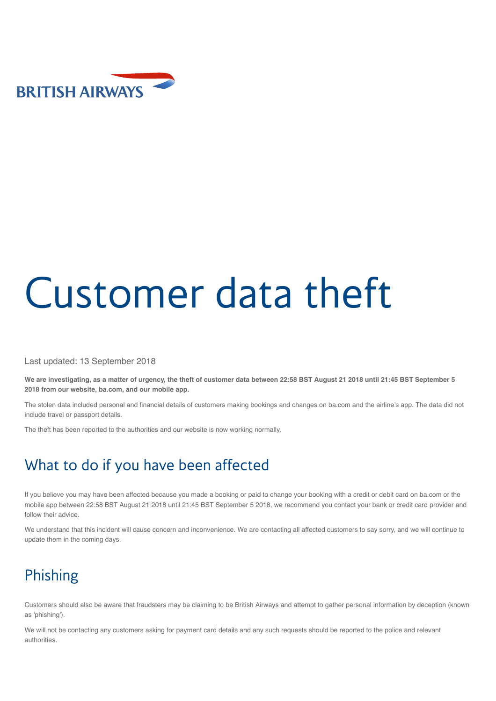

# [Customer data theft](http://www.britishairways.com/travel/home/public/en_gb)

Last updated: 13 September 2018

**We are investigating, as a matter of urgency, the theft of customer data between 22:58 BST August 21 2018 until 21:45 BST September 5 2018 from our website, ba.com, and our mobile app.**

The stolen data included personal and financial details of customers making bookings and changes on ba.com and the airline's app. The data did not include travel or passport details.

The theft has been reported to the authorities and our website is now working normally.

### What to do if you have been affected

If you believe you may have been affected because you made a booking or paid to change your booking with a credit or debit card on ba.com or the mobile app between 22:58 BST August 21 2018 until 21:45 BST September 5 2018, we recommend you contact your bank or credit card provider and follow their advice.

We understand that this incident will cause concern and inconvenience. We are contacting all affected customers to say sorry, and we will continue to update them in the coming days.

### Phishing

Customers should also be aware that fraudsters may be claiming to be British Airways and attempt to gather personal information by deception (known as 'phishing').

We will not be contacting any customers asking for payment card details and any such requests should be reported to the police and relevant authorities.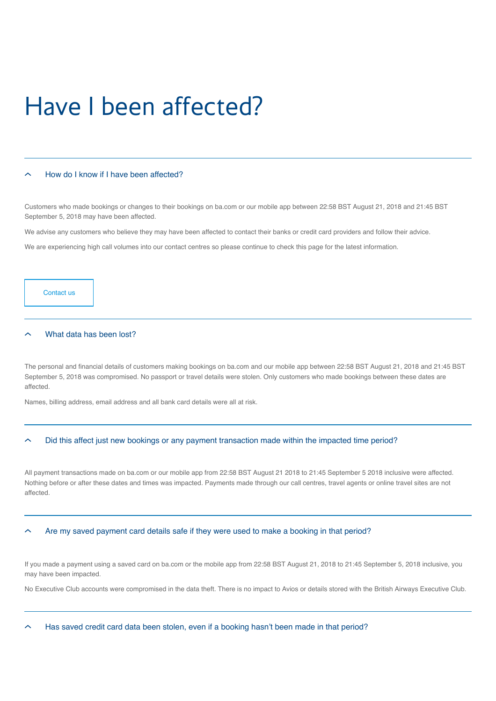### Have I been affected?

#### [How do I know if I have been affected?](https://www.britishairways.com/en-gb/information/incident/data-theft/latest-information#)

Customers who made bookings or changes to their bookings on ba.com or our mobile app between 22:58 BST August 21, 2018 and 21:45 BST September 5, 2018 may have been affected.

We advise any customers who believe they may have been affected to contact their banks or credit card providers and follow their advice.

We are experiencing high call volumes into our contact centres so please continue to check this page for the latest information.

[Contact us](https://www.britishairways.com/information/help-and-contacts)

#### [What data has been lost?](https://www.britishairways.com/en-gb/information/incident/data-theft/latest-information#)

The personal and financial details of customers making bookings on ba.com and our mobile app between 22:58 BST August 21, 2018 and 21:45 BST September 5, 2018 was compromised. No passport or travel details were stolen. Only customers who made bookings between these dates are affected.

Names, billing address, email address and all bank card details were all at risk.

#### [Did this affect just new bookings or any payment transaction made within the impacted time period?](https://www.britishairways.com/en-gb/information/incident/data-theft/latest-information#)

All payment transactions made on ba.com or our mobile app from 22:58 BST August 21 2018 to 21:45 September 5 2018 inclusive were affected. Nothing before or after these dates and times was impacted. Payments made through our call centres, travel agents or online travel sites are not affected.

#### [Are my saved payment card details safe if they were used to make a booking in that period?](https://www.britishairways.com/en-gb/information/incident/data-theft/latest-information#)

If you made a payment using a saved card on ba.com or the mobile app from 22:58 BST August 21, 2018 to 21:45 September 5, 2018 inclusive, you may have been impacted.

No Executive Club accounts were compromised in the data theft. There is no impact to Avios or details stored with the British Airways Executive Club.

[Has saved credit card data been stolen, even if a booking hasn't been made in that period?](https://www.britishairways.com/en-gb/information/incident/data-theft/latest-information#)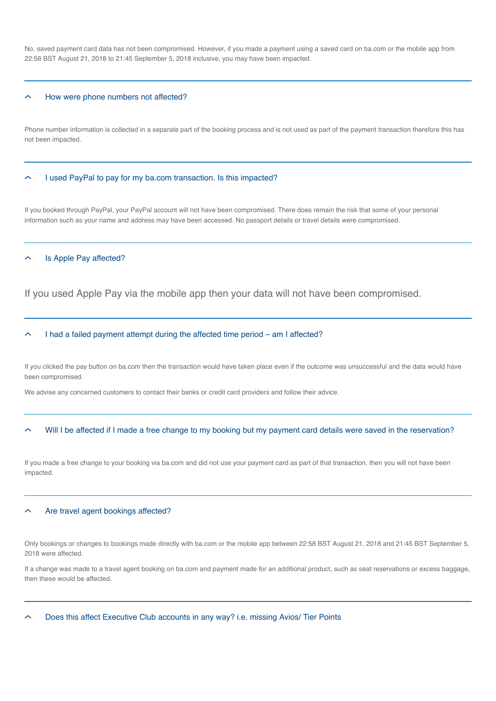No, saved payment card data has not been compromised. However, if you made a payment using a saved card on ba.com or the mobile app from 22:58 BST August 21, 2018 to 21:45 September 5, 2018 inclusive, you may have been impacted.

#### [How were phone numbers not affected?](https://www.britishairways.com/en-gb/information/incident/data-theft/latest-information#)

Phone number information is collected in a separate part of the booking process and is not used as part of the payment transaction therefore this has not been impacted.

#### [I used PayPal to pay for my ba.com transaction. Is this impacted?](https://www.britishairways.com/en-gb/information/incident/data-theft/latest-information#)

If you booked through PayPal, your PayPal account will not have been compromised. There does remain the risk that some of your personal information such as your name and address may have been accessed. No passport details or travel details were compromised.

#### [Is Apple Pay affected?](https://www.britishairways.com/en-gb/information/incident/data-theft/latest-information#)

If you used Apple Pay via the mobile app then your data will not have been compromised.

#### [I had a failed payment attempt during the affected time period – am I affected?](https://www.britishairways.com/en-gb/information/incident/data-theft/latest-information#)

If you clicked the pay button on ba.com then the transaction would have taken place even if the outcome was unsuccessful and the data would have been compromised.

We advise any concerned customers to contact their banks or credit card providers and follow their advice.

#### [Will I be affected if I made a free change to my booking but my payment card details were saved in the reservation?](https://www.britishairways.com/en-gb/information/incident/data-theft/latest-information#)

If you made a free change to your booking via ba.com and did not use your payment card as part of that transaction, then you will not have been impacted.

#### [Are travel agent bookings affected?](https://www.britishairways.com/en-gb/information/incident/data-theft/latest-information#)

Only bookings or changes to bookings made directly with ba.com or the mobile app between 22:58 BST August 21, 2018 and 21:45 BST September 5, 2018 were affected.

If a change was made to a travel agent booking on ba.com and payment made for an additional product, such as seat reservations or excess baggage, then these would be affected.

[Does this affect Executive Club accounts in any way? i.e. missing Avios/ Tier Points](https://www.britishairways.com/en-gb/information/incident/data-theft/latest-information#)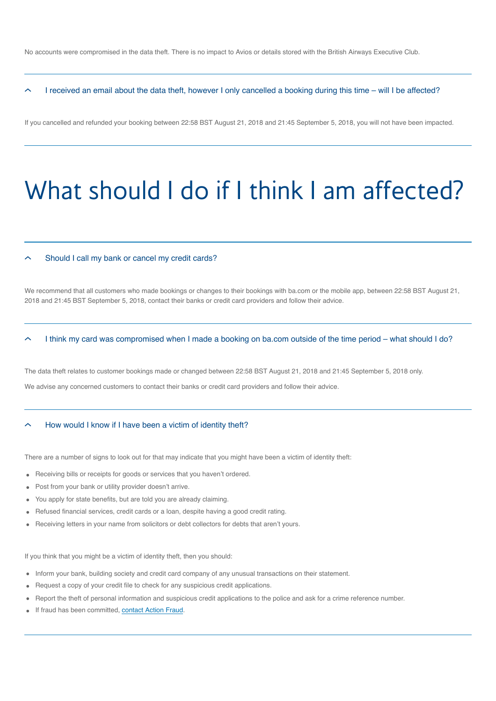No accounts were compromised in the data theft. There is no impact to Avios or details stored with the British Airways Executive Club.

[I received an email about the data theft, however I only cancelled a booking during this time – will I be affected?](https://www.britishairways.com/en-gb/information/incident/data-theft/latest-information#)

If you cancelled and refunded your booking between 22:58 BST August 21, 2018 and 21:45 September 5, 2018, you will not have been impacted.

## What should I do if I think I am affected?

#### [Should I call my bank or cancel my credit cards?](https://www.britishairways.com/en-gb/information/incident/data-theft/latest-information#)

We recommend that all customers who made bookings or changes to their bookings with ba.com or the mobile app, between 22:58 BST August 21, 2018 and 21:45 BST September 5, 2018, contact their banks or credit card providers and follow their advice.

#### [I think my card was compromised when I made a booking on ba.com outside of the time period – what should I do?](https://www.britishairways.com/en-gb/information/incident/data-theft/latest-information#)

The data theft relates to customer bookings made or changed between 22:58 BST August 21, 2018 and 21:45 September 5, 2018 only. We advise any concerned customers to contact their banks or credit card providers and follow their advice.

#### [How would I know if I have been a victim of identity theft?](https://www.britishairways.com/en-gb/information/incident/data-theft/latest-information#)

There are a number of signs to look out for that may indicate that you might have been a victim of identity theft:

- Receiving bills or receipts for goods or services that you haven't ordered.  $\bullet$
- Post from your bank or utility provider doesn't arrive.  $\bullet$
- You apply for state benefits, but are told you are already claiming.
- Refused financial services, credit cards or a loan, despite having a good credit rating.
- Receiving letters in your name from solicitors or debt collectors for debts that aren't yours.  $\bullet$

If you think that you might be a victim of identity theft, then you should:

- Inform your bank, building society and credit card company of any unusual transactions on their statement.  $\bullet$
- Request a copy of your credit file to check for any suspicious credit applications.  $\bullet$
- Report the theft of personal information and suspicious credit applications to the police and ask for a crime reference number.  $\bullet$
- If fraud has been committed, [contact Action Fraud.](https://www.actionfraud.police.uk/report_fraud)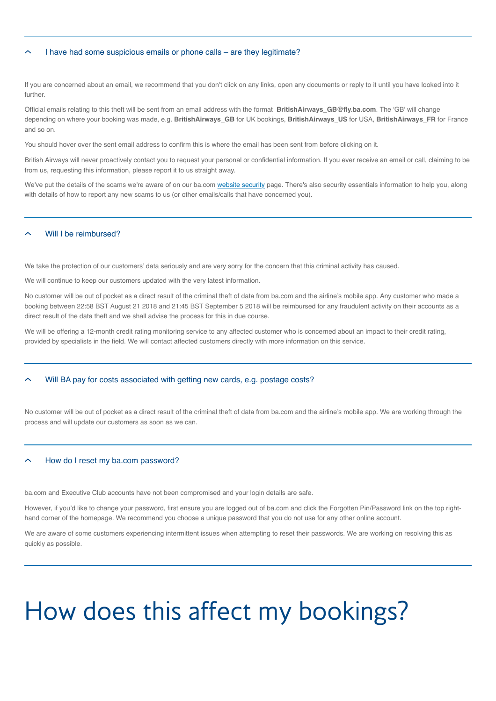#### [I have had some suspicious emails or phone calls – are they legitimate?](https://www.britishairways.com/en-gb/information/incident/data-theft/latest-information#)

If you are concerned about an email, we recommend that you don't click on any links, open any documents or reply to it until you have looked into it further.

Official emails relating to this theft will be sent from an email address with the format **BritishAirways\_GB@fly.ba.com**. The 'GB' will change depending on where your booking was made, e.g. **BritishAirways\_GB** for UK bookings, **BritishAirways\_US** for USA, **BritishAirways\_FR** for France and so on.

You should hover over the sent email address to confirm this is where the email has been sent from before clicking on it.

British Airways will never proactively contact you to request your personal or confidential information. If you ever receive an email or call, claiming to be from us, requesting this information, please report it to us straight away.

We've put the details of the scams we're aware of on our ba.com [website security](https://www.britishairways.com/en-gb/information/legal/website-security) page. There's also security essentials information to help you, along with details of how to report any new scams to us (or other emails/calls that have concerned you).

#### [Will I be reimbursed?](https://www.britishairways.com/en-gb/information/incident/data-theft/latest-information#)

We take the protection of our customers' data seriously and are very sorry for the concern that this criminal activity has caused.

We will continue to keep our customers updated with the very latest information.

No customer will be out of pocket as a direct result of the criminal theft of data from ba.com and the airline's mobile app. Any customer who made a booking between 22:58 BST August 21 2018 and 21:45 BST September 5 2018 will be reimbursed for any fraudulent activity on their accounts as a direct result of the data theft and we shall advise the process for this in due course.

We will be offering a 12-month credit rating monitoring service to any affected customer who is concerned about an impact to their credit rating, provided by specialists in the field. We will contact affected customers directly with more information on this service.

#### [Will BA pay for costs associated with getting new cards, e.g. postage costs?](https://www.britishairways.com/en-gb/information/incident/data-theft/latest-information#)

No customer will be out of pocket as a direct result of the criminal theft of data from ba.com and the airline's mobile app. We are working through the process and will update our customers as soon as we can.

#### [How do I reset my ba.com password?](https://www.britishairways.com/en-gb/information/incident/data-theft/latest-information#)

ba.com and Executive Club accounts have not been compromised and your login details are safe.

However, if you'd like to change your password, first ensure you are logged out of ba.com and click the Forgotten Pin/Password link on the top righthand corner of the homepage. We recommend you choose a unique password that you do not use for any other online account.

We are aware of some customers experiencing intermittent issues when attempting to reset their passwords. We are working on resolving this as quickly as possible.

# How does this affect my bookings?